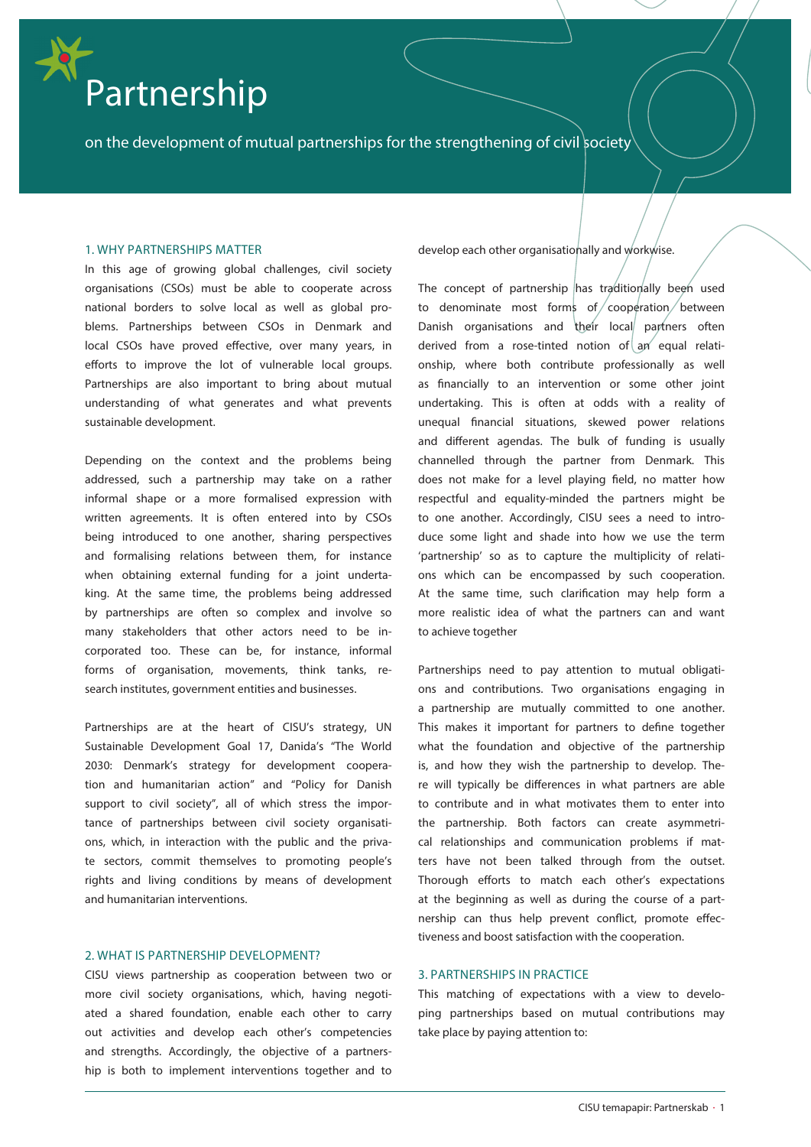# Partnership

on the development of mutual partnerships for the strengthening of civil society

# 1. WHY PARTNERSHIPS MATTER

In this age of growing global challenges, civil society organisations (CSOs) must be able to cooperate across national borders to solve local as well as global problems. Partnerships between CSOs in Denmark and local CSOs have proved effective, over many years, in efforts to improve the lot of vulnerable local groups. Partnerships are also important to bring about mutual understanding of what generates and what prevents sustainable development.

Depending on the context and the problems being addressed, such a partnership may take on a rather informal shape or a more formalised expression with written agreements. It is often entered into by CSOs being introduced to one another, sharing perspectives and formalising relations between them, for instance when obtaining external funding for a joint undertaking. At the same time, the problems being addressed by partnerships are often so complex and involve so many stakeholders that other actors need to be incorporated too. These can be, for instance, informal forms of organisation, movements, think tanks, research institutes, government entities and businesses.

Partnerships are at the heart of CISU's strategy, UN Sustainable Development Goal 17, Danida's "The World 2030: Denmark's strategy for development cooperation and humanitarian action" and "Policy for Danish support to civil society", all of which stress the importance of partnerships between civil society organisations, which, in interaction with the public and the private sectors, commit themselves to promoting people's rights and living conditions by means of development and humanitarian interventions.

## 2. WHAT IS PARTNERSHIP DEVELOPMENT?

CISU views partnership as cooperation between two or more civil society organisations, which, having negotiated a shared foundation, enable each other to carry out activities and develop each other's competencies and strengths. Accordingly, the objective of a partnership is both to implement interventions together and to

develop each other organisationally and workwise.

The concept of partnership has traditionally been used to denominate most forms of cooperation between Danish organisations and their local partners often derived from a rose-tinted notion of an equal relationship, where both contribute professionally as well as financially to an intervention or some other joint undertaking. This is often at odds with a reality of unequal financial situations, skewed power relations and different agendas. The bulk of funding is usually channelled through the partner from Denmark. This does not make for a level playing field, no matter how respectful and equality-minded the partners might be to one another. Accordingly, CISU sees a need to introduce some light and shade into how we use the term 'partnership' so as to capture the multiplicity of relations which can be encompassed by such cooperation. At the same time, such clarification may help form a more realistic idea of what the partners can and want to achieve together

Partnerships need to pay attention to mutual obligations and contributions. Two organisations engaging in a partnership are mutually committed to one another. This makes it important for partners to define together what the foundation and objective of the partnership is, and how they wish the partnership to develop. There will typically be differences in what partners are able to contribute and in what motivates them to enter into the partnership. Both factors can create asymmetrical relationships and communication problems if matters have not been talked through from the outset. Thorough efforts to match each other's expectations at the beginning as well as during the course of a partnership can thus help prevent conflict, promote effectiveness and boost satisfaction with the cooperation.

# 3. PARTNERSHIPS IN PRACTICE

This matching of expectations with a view to developing partnerships based on mutual contributions may take place by paying attention to: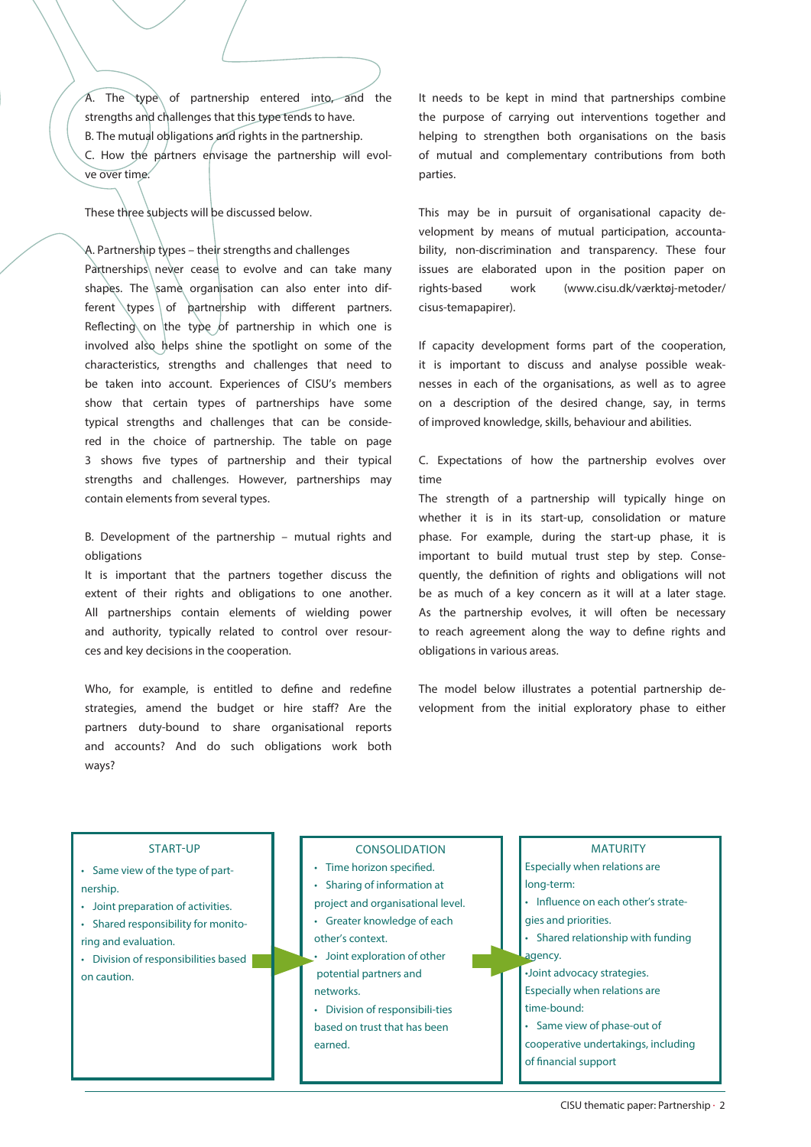$\overline{A}$ . The type of partnership entered into, and the strengths and challenges that this type tends to have. B. The mutual obligations and rights in the partnership. C. How the partners envisage the partnership will evolve over time.

These three subjects will be discussed below.

A. Partnership types – their strengths and challenges Partnerships never cease to evolve and can take many shapes. The same organisation can also enter into different types of partnership with different partners. Reflecting on the type of partnership in which one is involved also helps shine the spotlight on some of the characteristics, strengths and challenges that need to be taken into account. Experiences of CISU's members show that certain types of partnerships have some typical strengths and challenges that can be considered in the choice of partnership. The table on page 3 shows five types of partnership and their typical strengths and challenges. However, partnerships may contain elements from several types.

B. Development of the partnership – mutual rights and obligations

It is important that the partners together discuss the extent of their rights and obligations to one another. All partnerships contain elements of wielding power and authority, typically related to control over resources and key decisions in the cooperation.

Who, for example, is entitled to define and redefine strategies, amend the budget or hire staff? Are the partners duty-bound to share organisational reports and accounts? And do such obligations work both ways?

It needs to be kept in mind that partnerships combine the purpose of carrying out interventions together and helping to strengthen both organisations on the basis of mutual and complementary contributions from both parties.

This may be in pursuit of organisational capacity development by means of mutual participation, accountability, non-discrimination and transparency. These four issues are elaborated upon in the position paper on rights-based work (www.cisu.dk/værktøj-metoder/ cisus-temapapirer).

If capacity development forms part of the cooperation, it is important to discuss and analyse possible weaknesses in each of the organisations, as well as to agree on a description of the desired change, say, in terms of improved knowledge, skills, behaviour and abilities.

C. Expectations of how the partnership evolves over time

The strength of a partnership will typically hinge on whether it is in its start-up, consolidation or mature phase. For example, during the start-up phase, it is important to build mutual trust step by step. Consequently, the definition of rights and obligations will not be as much of a key concern as it will at a later stage. As the partnership evolves, it will often be necessary to reach agreement along the way to define rights and obligations in various areas.

The model below illustrates a potential partnership development from the initial exploratory phase to either

### START-UP

• Same view of the • Same view of the type of partnership.

START-UP

- Joint preparation of activities.
- Some preparation of activities.<br>• Shared responsibility for monito**the oriental part of partnership.**
- Division of responsibilities based on caution.

• Shared responsibility for monitoring and

- Time horizon specified.
- Sharing of information at

CONSOLIDATION

- project and organisational level.
- Greater knowledge of each other's context.
- Joint exploration of other potential partners and networks.
- Division of responsibili-ties based on trust that has been earned.
- long-term: • Influence on each other's strategies and priorities. • Shared relationship with funding agency.

Especially when relations are

MATURITY

- •Joint advocacy strategies.
- Especially when relations are time-bound:
- Same view of phase-out of
- cooperative undertakings, including of financial support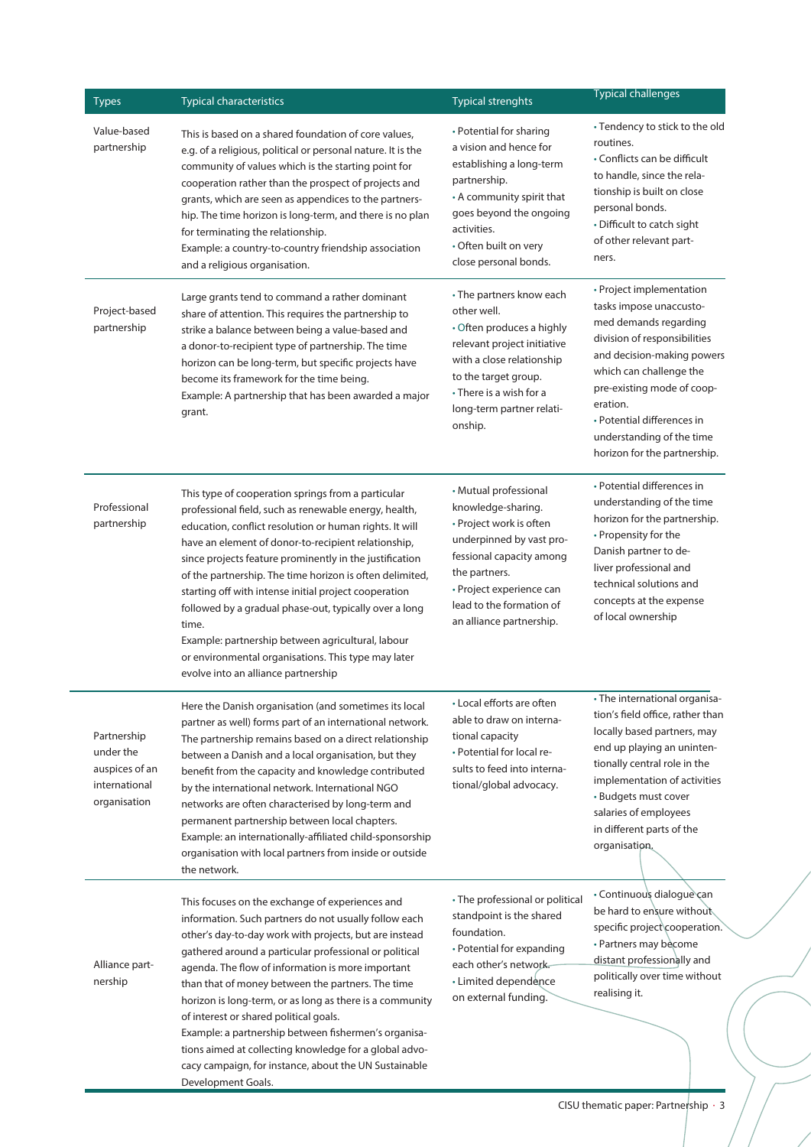| <b>Types</b>                                                                | <b>Typical characteristics</b>                                                                                                                                                                                                                                                                                                                                                                                                                                                                                                                                                                                                                | <b>Typical strenghts</b>                                                                                                                                                                                                            | <b>Typical challenges</b>                                                                                                                                                                                                                                                                                  |
|-----------------------------------------------------------------------------|-----------------------------------------------------------------------------------------------------------------------------------------------------------------------------------------------------------------------------------------------------------------------------------------------------------------------------------------------------------------------------------------------------------------------------------------------------------------------------------------------------------------------------------------------------------------------------------------------------------------------------------------------|-------------------------------------------------------------------------------------------------------------------------------------------------------------------------------------------------------------------------------------|------------------------------------------------------------------------------------------------------------------------------------------------------------------------------------------------------------------------------------------------------------------------------------------------------------|
| Value-based<br>partnership                                                  | This is based on a shared foundation of core values,<br>e.g. of a religious, political or personal nature. It is the<br>community of values which is the starting point for<br>cooperation rather than the prospect of projects and<br>grants, which are seen as appendices to the partners-<br>hip. The time horizon is long-term, and there is no plan<br>for terminating the relationship.<br>Example: a country-to-country friendship association<br>and a religious organisation.                                                                                                                                                        | • Potential for sharing<br>a vision and hence for<br>establishing a long-term<br>partnership.<br>• A community spirit that<br>goes beyond the ongoing<br>activities.<br>• Often built on very<br>close personal bonds.              | • Tendency to stick to the old<br>routines.<br>• Conflicts can be difficult<br>to handle, since the rela-<br>tionship is built on close<br>personal bonds.<br>• Difficult to catch sight<br>of other relevant part-<br>ners.                                                                               |
| Project-based<br>partnership                                                | Large grants tend to command a rather dominant<br>share of attention. This requires the partnership to<br>strike a balance between being a value-based and<br>a donor-to-recipient type of partnership. The time<br>horizon can be long-term, but specific projects have<br>become its framework for the time being.<br>Example: A partnership that has been awarded a major<br>grant.                                                                                                                                                                                                                                                        | • The partners know each<br>other well.<br>• Often produces a highly<br>relevant project initiative<br>with a close relationship<br>to the target group.<br>• There is a wish for a<br>long-term partner relati-<br>onship.         | • Project implementation<br>tasks impose unaccusto-<br>med demands regarding<br>division of responsibilities<br>and decision-making powers<br>which can challenge the<br>pre-existing mode of coop-<br>eration.<br>• Potential differences in<br>understanding of the time<br>horizon for the partnership. |
| Professional<br>partnership                                                 | This type of cooperation springs from a particular<br>professional field, such as renewable energy, health,<br>education, conflict resolution or human rights. It will<br>have an element of donor-to-recipient relationship,<br>since projects feature prominently in the justification<br>of the partnership. The time horizon is often delimited,<br>starting off with intense initial project cooperation<br>followed by a gradual phase-out, typically over a long<br>time.<br>Example: partnership between agricultural, labour<br>or environmental organisations. This type may later<br>evolve into an alliance partnership           | • Mutual professional<br>knowledge-sharing.<br>• Project work is often<br>underpinned by vast pro-<br>fessional capacity among<br>the partners.<br>• Project experience can<br>lead to the formation of<br>an alliance partnership. | • Potential differences in<br>understanding of the time<br>horizon for the partnership.<br>• Propensity for the<br>Danish partner to de-<br>liver professional and<br>technical solutions and<br>concepts at the expense<br>of local ownership                                                             |
| Partnership<br>under the<br>auspices of an<br>international<br>organisation | Here the Danish organisation (and sometimes its local<br>partner as well) forms part of an international network.<br>The partnership remains based on a direct relationship<br>between a Danish and a local organisation, but they<br>benefit from the capacity and knowledge contributed<br>by the international network. International NGO<br>networks are often characterised by long-term and<br>permanent partnership between local chapters.<br>Example: an internationally-affiliated child-sponsorship<br>organisation with local partners from inside or outside<br>the network.                                                     | • Local efforts are often<br>able to draw on interna-<br>tional capacity<br>• Potential for local re-<br>sults to feed into interna-<br>tional/global advocacy.                                                                     | • The international organisa<br>tion's field office, rather than<br>locally based partners, may<br>end up playing an uninten-<br>tionally central role in the<br>implementation of activities<br>• Budgets must cover<br>salaries of employees<br>in different parts of the<br>organisation.               |
| Alliance part-<br>nership                                                   | This focuses on the exchange of experiences and<br>information. Such partners do not usually follow each<br>other's day-to-day work with projects, but are instead<br>gathered around a particular professional or political<br>agenda. The flow of information is more important<br>than that of money between the partners. The time<br>horizon is long-term, or as long as there is a community<br>of interest or shared political goals.<br>Example: a partnership between fishermen's organisa-<br>tions aimed at collecting knowledge for a global advo-<br>cacy campaign, for instance, about the UN Sustainable<br>Development Goals. | • The professional or political<br>standpoint is the shared<br>foundation.<br>• Potential for expanding<br>each other's network.<br>• Limited dependence<br>on external funding.                                                    | · Continuous dialogue can<br>be hard to ensure without<br>specific project cooperation.<br>• Partners may become<br>distant professionally and<br>politically over time without<br>realising it.                                                                                                           |